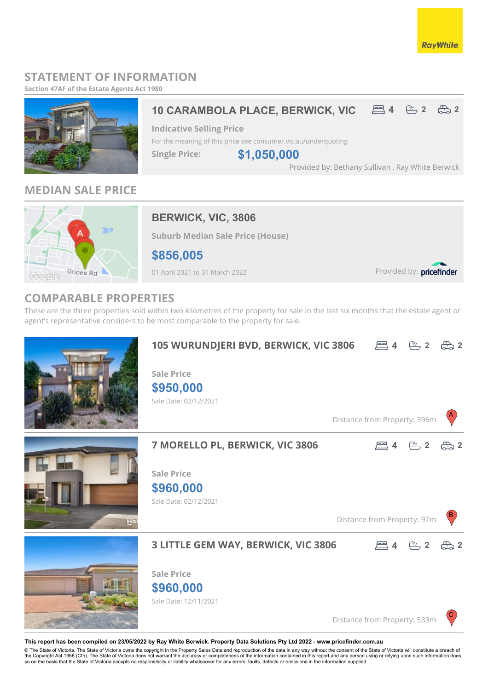### **RayWhite**

## **STATEMENT OF INFORMATION**

**Section 47AF of the Estate Agents Act 1980**



## **MEDIAN SALE PRICE**



## **BERWICK, VIC, 3806**

**Suburb Median Sale Price (House)**

**\$856,005**

01 April 2021 to 31 March 2022

Provided by: pricefinder

## **COMPARABLE PROPERTIES**

These are the three properties sold within two kilometres of the property for sale in the last six months that the estate agent or agent's representative considers to be most comparable to the property for sale.



#### **This report has been compiled on 23/05/2022 by Ray White Berwick. Property Data Solutions Pty Ltd 2022 - www.pricefinder.com.au**

© The State of Victoria. The State of Victoria owns the copyright in the Property Sales Data and reproduction of the data in any way without the consent of the State of Victoria will constitute a breach of<br>the Copyright Ac so on the basis that the State of Victoria accepts no responsibility or liability whatsoever for any errors, faults, defects or omissions in the information supplied.